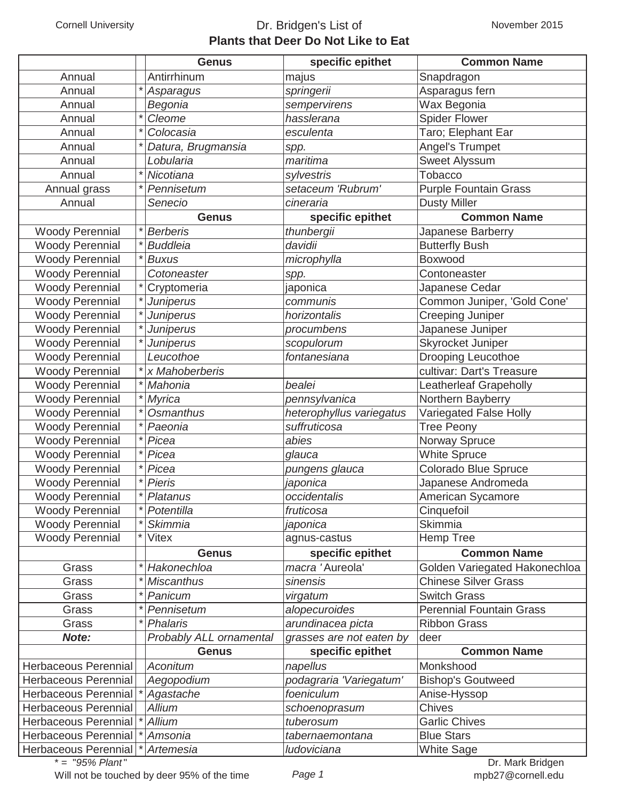## Cornell University **Dr. Bridgen's List of Plants that Deer Do Not Like to Eat**

|                             | <b>Genus</b>            | specific epithet         | <b>Common Name</b>              |
|-----------------------------|-------------------------|--------------------------|---------------------------------|
| Annual                      | Antirrhinum             | majus                    | Snapdragon                      |
| Annual                      | Asparagus               | springerii               | Asparagus fern                  |
| Annual                      | Begonia                 | sempervirens             | Wax Begonia                     |
| Annual                      | Cleome                  | hasslerana               | <b>Spider Flower</b>            |
| Annual                      | Colocasia               | esculenta                | Taro; Elephant Ear              |
| Annual                      | Datura, Brugmansia      | spp.                     | Angel's Trumpet                 |
| Annual                      | Lobularia               | maritima                 | Sweet Alyssum                   |
| Annual                      | Nicotiana               | sylvestris               | Tobacco                         |
| Annual grass                | Pennisetum              | setaceum 'Rubrum'        | <b>Purple Fountain Grass</b>    |
| Annual                      | Senecio                 | cineraria                | <b>Dusty Miller</b>             |
|                             | <b>Genus</b>            | specific epithet         | <b>Common Name</b>              |
| <b>Woody Perennial</b>      | <b>Berberis</b>         | thunbergii               | Japanese Barberry               |
| <b>Woody Perennial</b>      | <b>Buddleia</b>         | davidii                  | <b>Butterfly Bush</b>           |
| <b>Woody Perennial</b>      | <b>Buxus</b>            | microphylla              | Boxwood                         |
| <b>Woody Perennial</b>      | Cotoneaster             | spp.                     | Contoneaster                    |
| <b>Woody Perennial</b>      | Cryptomeria             | japonica                 | Japanese Cedar                  |
| <b>Woody Perennial</b>      | <b>Juniperus</b>        | communis                 | Common Juniper, 'Gold Cone'     |
| <b>Woody Perennial</b>      | Juniperus               | horizontalis             | Creeping Juniper                |
| <b>Woody Perennial</b>      | Juniperus               | procumbens               | Japanese Juniper                |
| <b>Woody Perennial</b>      | <b>Juniperus</b>        | scopulorum               | Skyrocket Juniper               |
| <b>Woody Perennial</b>      | Leucothoe               | fontanesiana             | <b>Drooping Leucothoe</b>       |
| <b>Woody Perennial</b>      | x Mahoberberis          |                          | cultivar: Dart's Treasure       |
| <b>Woody Perennial</b>      | Mahonia                 | bealei                   | <b>Leatherleaf Grapeholly</b>   |
| <b>Woody Perennial</b>      | Myrica                  | pennsylvanica            | Northern Bayberry               |
| <b>Woody Perennial</b>      | <b>Osmanthus</b>        | heterophyllus variegatus | Variegated False Holly          |
| <b>Woody Perennial</b>      | Paeonia                 | suffruticosa             | <b>Tree Peony</b>               |
| <b>Woody Perennial</b>      | Picea                   | abies                    | Norway Spruce                   |
| <b>Woody Perennial</b>      | Picea                   | glauca                   | <b>White Spruce</b>             |
| <b>Woody Perennial</b>      | Picea                   | pungens glauca           | <b>Colorado Blue Spruce</b>     |
| <b>Woody Perennial</b>      | <b>Pieris</b>           | japonica                 | Japanese Andromeda              |
| <b>Woody Perennial</b>      | Platanus                | occidentalis             | American Sycamore               |
| <b>Woody Perennial</b>      | Potentilla              | fruticosa                | Cinquefoil                      |
| <b>Woody Perennial</b>      | <b>Skimmia</b>          | japonica                 | Skimmia                         |
| <b>Woody Perennial</b>      | Vitex                   | agnus-castus             | Hemp Tree                       |
|                             | <b>Genus</b>            | specific epithet         | <b>Common Name</b>              |
| Grass                       | Hakonechloa             | macra 'Aureola'          | Golden Variegated Hakonechloa   |
| Grass                       | <b>Miscanthus</b>       | sinensis                 | <b>Chinese Silver Grass</b>     |
| Grass                       | Panicum                 | virgatum                 | <b>Switch Grass</b>             |
| Grass                       | Pennisetum              | alopecuroides            | <b>Perennial Fountain Grass</b> |
| Grass                       | <b>Phalaris</b>         | arundinacea picta        | <b>Ribbon Grass</b>             |
| Note:                       | Probably ALL ornamental | grasses are not eaten by | deer                            |
|                             | <b>Genus</b>            | specific epithet         | <b>Common Name</b>              |
| Herbaceous Perennial        | <b>Aconitum</b>         | napellus                 | Monkshood                       |
| Herbaceous Perennial        | Aegopodium              | podagraria 'Variegatum'  | <b>Bishop's Goutweed</b>        |
| Herbaceous Perennial        | Agastache               | foeniculum               | Anise-Hyssop                    |
| <b>Herbaceous Perennial</b> | <b>Allium</b>           | schoenoprasum            | <b>Chives</b>                   |
| Herbaceous Perennial        | <b>Allium</b>           | tuberosum                | <b>Garlic Chives</b>            |
| <b>Herbaceous Perennial</b> | Amsonia                 | tabernaemontana          | <b>Blue Stars</b>               |
| Herbaceous Perennial        | Artemesia               | ludoviciana              | <b>White Sage</b>               |